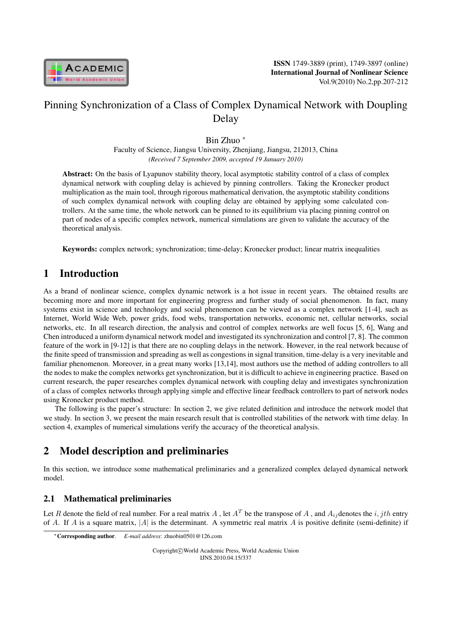

# Pinning Synchronization of a Class of Complex Dynamical Network with Doupling Delay

Bin Zhuo *<sup>∗</sup>*

Faculty of Science, Jiangsu University, Zhenjiang, Jiangsu, 212013, China *(Received 7 September 2009, accepted 19 January 2010)*

Abstract: On the basis of Lyapunov stability theory, local asymptotic stability control of a class of complex dynamical network with coupling delay is achieved by pinning controllers. Taking the Kronecker product multiplication as the main tool, through rigorous mathematical derivation, the asymptotic stability conditions of such complex dynamical network with coupling delay are obtained by applying some calculated controllers. At the same time, the whole network can be pinned to its equilibrium via placing pinning control on part of nodes of a specific complex network, numerical simulations are given to validate the accuracy of the theoretical analysis.

Keywords: complex network; synchronization; time-delay; Kronecker product; linear matrix inequalities

# 1 Introduction

As a brand of nonlinear science, complex dynamic network is a hot issue in recent years. The obtained results are becoming more and more important for engineering progress and further study of social phenomenon. In fact, many systems exist in science and technology and social phenomenon can be viewed as a complex network [1-4], such as Internet, World Wide Web, power grids, food webs, transportation networks, economic net, cellular networks, social networks, etc. In all research direction, the analysis and control of complex networks are well focus [5, 6], Wang and Chen introduced a uniform dynamical network model and investigated its synchronization and control [7, 8]. The common feature of the work in [9-12] is that there are no coupling delays in the network. However, in the real network because of the finite speed of transmission and spreading as well as congestions in signal transition, time-delay is a very inevitable and familiar phenomenon. Moreover, in a great many works [13,14], most authors use the method of adding controllers to all the nodes to make the complex networks get synchronization, but it is difficult to achieve in engineering practice. Based on current research, the paper researches complex dynamical network with coupling delay and investigates synchronization of a class of complex networks through applying simple and effective linear feedback controllers to part of network nodes using Kronecker product method.

The following is the paper's structure: In section 2, we give related definition and introduce the network model that we study. In section 3, we present the main research result that is controlled stabilities of the network with time delay. In section 4, examples of numerical simulations verify the accuracy of the theoretical analysis.

# 2 Model description and preliminaries

In this section, we introduce some mathematical preliminaries and a generalized complex delayed dynamical network model.

#### 2.1 Mathematical preliminaries

Let R denote the field of real number. For a real matrix A, let  $A<sup>T</sup>$  be the transpose of A, and  $A<sub>ij</sub>$  denotes the  $i, jth$  entry of *A*. If *A* is a square matrix, |*A*| is the determinant. A symmetric real matrix *A* is positive definite (semi-definite) if

*<sup>∗</sup>*Corresponding author. *E-mail address*: zhuobin0501@126.com

Copyright*⃝*c World Academic Press, World Academic Union IJNS.2010.04.15/337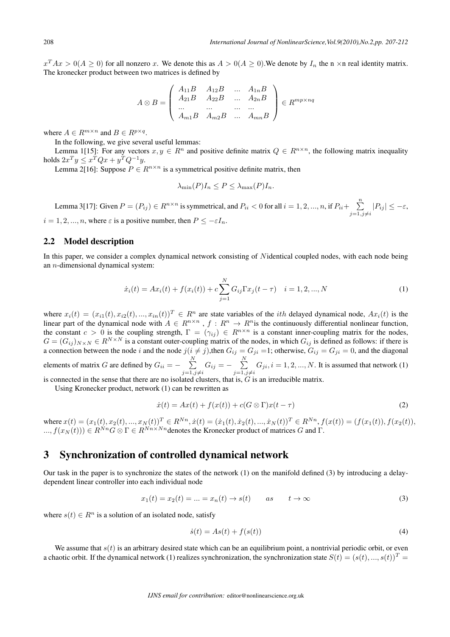$x^T A x > 0 (A \ge 0)$  for all nonzero x. We denote this as  $A > 0 (A \ge 0)$ . We denote by  $I_n$  the n  $\times$ n real identity matrix. The kronecker product between two matrices is defined by

$$
A \otimes B = \begin{pmatrix} A_{11}B & A_{12}B & \dots & A_{1n}B \\ A_{21}B & A_{22}B & \dots & A_{2n}B \\ \dots & \dots & \dots & \dots \\ A_{m1}B & A_{m2}B & \dots & A_{mn}B \end{pmatrix} \in R^{mp \times nq}
$$

where  $A \in R^{m \times n}$  and  $B \in R^{p \times q}$ .

In the following, we give several useful lemmas:

Lemma 1[15]: For any vectors  $x, y \in \mathbb{R}^n$  and positive definite matrix  $Q \in \mathbb{R}^{n \times n}$ , the following matrix inequality holds  $2x^Ty \le x^TQx + y^TQ^{-1}y$ .

Lemma 2[16]: Suppose  $P \in R^{n \times n}$  is a symmetrical positive definite matrix, then

$$
\lambda_{\min}(P)I_n \le P \le \lambda_{\max}(P)I_n.
$$

Lemma 3[17]: Given  $P = (P_{ij}) \in R^{n \times n}$  is symmetrical, and  $P_{ii} < 0$  for all  $i = 1, 2, ..., n$ , if  $P_{ii} + \sum_{i=1}^{n}$ =1*,∕*=  $|P_{ij}|$  ≤ − $\varepsilon$ ,  $i = 1, 2, ..., n$ , where  $\varepsilon$  is a positive number, then  $P \le -\varepsilon I_n$ .

#### 2.2 Model description

In this paper, we consider a complex dynamical network consisting of Nidentical coupled nodes, with each node being an  $n$ -dimensional dynamical system:

$$
\dot{x}_i(t) = Ax_i(t) + f(x_i(t)) + c \sum_{j=1}^{N} G_{ij} \Gamma x_j(t - \tau) \quad i = 1, 2, ..., N
$$
\n(1)

where  $x_i(t) = (x_{i1}(t), x_{i2}(t), ..., x_{in}(t))^T \in R^n$  are state variables of the *i*th delayed dynamical node,  $Ax_i(t)$  is the linear part of the dynamical node with  $A \in R^{n \times n}$ ,  $f : R^n \to R^n$  is the continuously differential nonlinear function, the constant  $c > 0$  is the coupling strength,  $\Gamma = (\gamma_{ij}) \in R^{n \times n}$  is a constant inner-coupling matrix for the nodes,  $G = (G_{ij})_{N \times N} \in R^{N \times N}$  is a constant outer-coupling matrix of the nodes, in which  $G_{ij}$  is defined as follows: if there is  $G = (G_{ij})_{N \times N} \in R^{N \times N}$  is a constant outer-coupling matrix of the nodes, in which  $G_{ij}$  is d a connection between the node *i* and the node  $j(i \neq j)$ , then  $G_{ij} = G_{ji} = 1$ ; otherwise,  $G_{ij} = G_{ji} = 0$ , and the diagonal elements of matrix *G* are defined by  $G_{ii} = -\sum_{i=1}^{N}$ =1*,∕*=  $G_{ij} = -\sum_{i=1}^{N}$ =1*,∕*=  $G_{ji}$ ,  $i = 1, 2, ..., N$ . It is assumed that network (1) is connected in the sense that there are no isolated clusters, that is,  $G$  is an irreducible matrix.

Using Kronecker product, network (1) can be rewritten as

$$
\dot{x}(t) = Ax(t) + f(x(t)) + c(G \otimes \Gamma)x(t - \tau)
$$
\n(2)

where  $x(t) = (x_1(t), x_2(t), ..., x_N(t))^T \in R^{Nn}, \dot{x}(t) = (\dot{x}_1(t), \dot{x}_2(t), ..., \dot{x}_N(t))^T \in R^{Nn}, f(x(t)) = (f(x_1(t)), f(x_2(t)),$  $L(x, f(x_N(t))) \in R^{Nn} G \otimes \Gamma \in R^{Nn \times Nn}$ denotes the Kronecker product of matrices G and  $\Gamma$ .

#### 3 Synchronization of controlled dynamical network

Our task in the paper is to synchronize the states of the network (1) on the manifold defined (3) by introducing a delaydependent linear controller into each individual node

$$
x_1(t) = x_2(t) = \dots = x_n(t) \to s(t) \qquad as \qquad t \to \infty \tag{3}
$$

where  $s(t) \in R^n$  is a solution of an isolated node, satisfy

$$
\dot{s}(t) = As(t) + f(s(t))\tag{4}
$$

We assume that  $s(t)$  is an arbitrary desired state which can be an equilibrium point, a nontrivial periodic orbit, or even a chaotic orbit. If the dynamical network (1) realizes synchronization, the synchronization state  $S(t) = (s(t), ..., s(t))^T$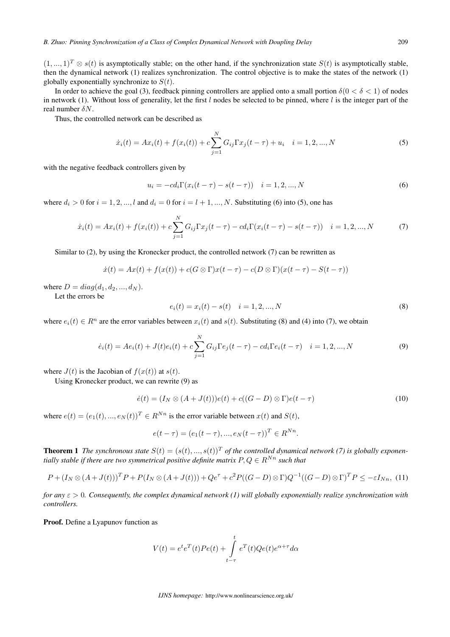$(1,...,1)^T \otimes s(t)$  is asymptotically stable; on the other hand, if the synchronization state  $S(t)$  is asymptotically stable, then the dynamical network (1) realizes synchronization. The control objective is to make the states of the network (1) globally exponentially synchronize to  $S(t)$ .

In order to achieve the goal (3), feedback pinning controllers are applied onto a small portion  $\delta(0 < \delta < 1)$  of nodes in network (1). Without loss of generality, let the first  $l$  nodes be selected to be pinned, where  $l$  is the integer part of the real number  $\delta N$ .

Thus, the controlled network can be described as

$$
\dot{x}_i(t) = Ax_i(t) + f(x_i(t)) + c \sum_{j=1}^{N} G_{ij} \Gamma x_j(t - \tau) + u_i \quad i = 1, 2, ..., N
$$
\n(5)

with the negative feedback controllers given by

$$
u_i = -cd_i \Gamma(x_i(t-\tau) - s(t-\tau)) \quad i = 1, 2, ..., N
$$
 (6)

where  $d_i > 0$  for  $i = 1, 2, \dots, l$  and  $d_i = 0$  for  $i = l + 1, \dots, N$ . Substituting (6) into (5), one has

$$
\dot{x}_i(t) = Ax_i(t) + f(x_i(t)) + c \sum_{j=1}^{N} G_{ij} \Gamma x_j(t-\tau) - c d_i \Gamma(x_i(t-\tau) - s(t-\tau)) \quad i = 1, 2, ..., N
$$
 (7)

Similar to (2), by using the Kronecker product, the controlled network (7) can be rewritten as

 $\dot{x}(t) = Ax(t) + f(x(t)) + c(G \otimes \Gamma)x(t-\tau) - c(D \otimes \Gamma)(x(t-\tau) - S(t-\tau))$ 

where  $D = diag(d_1, d_2, ..., d_N)$ .

Let the errors be

$$
e_i(t) = x_i(t) - s(t) \quad i = 1, 2, ..., N
$$
\n(8)

where  $e_i(t) \in R^n$  are the error variables between  $x_i(t)$  and  $s(t)$ . Substituting (8) and (4) into (7), we obtain

$$
\dot{e}_i(t) = Ae_i(t) + J(t)e_i(t) + c \sum_{j=1}^{N} G_{ij} \Gamma e_j(t - \tau) - cd_i \Gamma e_i(t - \tau) \quad i = 1, 2, ..., N
$$
\n(9)

where  $J(t)$  is the Jacobian of  $f(x(t))$  at  $s(t)$ .

Using Kronecker product, we can rewrite (9) as

$$
\dot{e}(t) = (I_N \otimes (A + J(t)))e(t) + c((G - D) \otimes \Gamma)e(t - \tau)
$$
\n(10)

where  $e(t) = (e_1(t), ..., e_N(t))^T \in R^{Nn}$  is the error variable between  $x(t)$  and  $S(t)$ ,

$$
e(t - \tau) = (e_1(t - \tau), ..., e_N(t - \tau))^T \in R^{Nn}.
$$

**Theorem 1** *The synchronous state*  $S(t) = (s(t), ..., s(t))^T$  *of the controlled dynamical network* (7) *is globally exponentially stable if there are two symmetrical positive definite matrix*  $P, Q \in \mathbb{R}^{Nn}$  such that

$$
P + (I_N \otimes (A + J(t)))^T P + P (I_N \otimes (A + J(t))) + Qe^{\tau} + c^2 P ((G - D) \otimes \Gamma) Q^{-1} ((G - D) \otimes \Gamma)^T P \le -\varepsilon I_{Nn},
$$
 (11)

*for any*  $\varepsilon > 0$ *. Consequently, the complex dynamical network (1) will globally exponentially realize synchronization with controllers.*

Proof. Define a Lyapunov function as

$$
V(t) = e^t e^T(t) Pe(t) + \int_{t-\tau}^t e^T(t) Qe(t) e^{\alpha + \tau} d\alpha
$$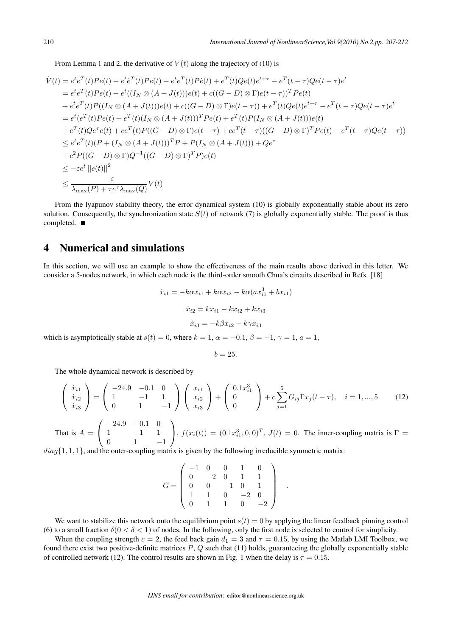From Lemma 1 and 2, the derivative of  $V(t)$  along the trajectory of (10) is

$$
\dot{V}(t) = e^t e^T(t)Pe(t) + e^t e^T(t)Pe(t) + e^t e^T(t)P\dot{e}(t) + e^T(t)Qe(t)e^{t+\tau} - e^T(t-\tau)Qe(t-\tau)e^t
$$
\n
$$
= e^t e^T(t)Pe(t) + e^t((I_N \otimes (A+J(t)))e(t) + c((G-D) \otimes \Gamma)e(t-\tau))^T Pe(t)
$$
\n
$$
+ e^t e^T(t)P((I_N \otimes (A+J(t)))e(t) + c((G-D) \otimes \Gamma)e(t-\tau)) + e^T(t)Qe(t)e^{t+\tau} - e^T(t-\tau)Qe(t-\tau)e^t
$$
\n
$$
= e^t (e^T(t)Pe(t) + e^T(t)(I_N \otimes (A+J(t)))^T Pe(t) + e^T(t)P(I_N \otimes (A+J(t)))e(t)
$$
\n
$$
+ e^T(t)Qe^{\tau}e(t) + ce^T(t)P((G-D) \otimes \Gamma)e(t-\tau) + ce^T(t-\tau)((G-D) \otimes \Gamma)^T Pe(t) - e^T(t-\tau)Qe(t-\tau))
$$
\n
$$
\leq e^t e^T(t)(P + (I_N \otimes (A+J(t)))^T P + P(I_N \otimes (A+J(t))) + Qe^{\tau}
$$
\n
$$
+ c^2 P((G-D) \otimes \Gamma)Q^{-1}((G-D) \otimes \Gamma)^T P)e(t)
$$
\n
$$
\leq -\varepsilon e^t ||e(t)||^2
$$
\n
$$
\leq \frac{-\varepsilon}{\lambda_{\text{max}}(P) + \tau e^{\tau} \lambda_{\text{max}}(Q)}V(t)
$$

From the lyapunov stability theory, the error dynamical system (10) is globally exponentially stable about its zero solution. Consequently, the synchronization state  $S(t)$  of network (7) is globally exponentially stable. The proof is thus completed. ■

### 4 Numerical and simulations

In this section, we will use an example to show the effectiveness of the main results above derived in this letter. We consider a 5-nodes network, in which each node is the third-order smooth Chua's circuits described in Refs. [18]

$$
\dot{x}_{i1} = -k\alpha x_{i1} + k\alpha x_{i2} - k\alpha (ax_{i1}^3 + bx_{i1})
$$

$$
\dot{x}_{i2} = kx_{i1} - kx_{i2} + kx_{i3}
$$

$$
\dot{x}_{i3} = -k\beta x_{i2} - k\gamma x_{i3}
$$

which is asymptotically stable at  $s(t) = 0$ , where  $k = 1$ ,  $\alpha = -0.1$ ,  $\beta = -1$ ,  $\gamma = 1$ ,  $a = 1$ ,

$$
b=25.
$$

The whole dynamical network is described by

$$
\begin{pmatrix} \dot{x}_{i1} \\ \dot{x}_{i2} \\ \dot{x}_{i3} \end{pmatrix} = \begin{pmatrix} -24.9 & -0.1 & 0 \\ 1 & -1 & 1 \\ 0 & 1 & -1 \end{pmatrix} \begin{pmatrix} x_{i1} \\ x_{i2} \\ x_{i3} \end{pmatrix} + \begin{pmatrix} 0.1x_{i1}^3 \\ 0 \\ 0 \end{pmatrix} + c \sum_{j=1}^5 G_{ij} \Gamma x_j (t - \tau), \quad i = 1, ..., 5 \quad (12)
$$

That is  $A =$  $\sqrt{2}$  $\mathcal{L}$ *−*24*.*9 *−*0*.*1 0 1 *−*1 1 0 1 *−*1 ⎞ ,  $f(x_i(t)) = (0.1x_{i1}^3, 0, 0)^T$ ,  $J(t) = 0$ . The inner-coupling matrix is  $\Gamma =$ 

 $diag\{1, 1, 1\}$ , and the outer-coupling matrix is given by the following irreducible symmetric matrix:

$$
G = \left(\begin{array}{rrrrr} -1 & 0 & 0 & 1 & 0 \\ 0 & -2 & 0 & 1 & 1 \\ 0 & 0 & -1 & 0 & 1 \\ 1 & 1 & 0 & -2 & 0 \\ 0 & 1 & 1 & 0 & -2 \end{array}\right)
$$

*.*

We want to stabilize this network onto the equilibrium point  $s(t) = 0$  by applying the linear feedback pinning control (6) to a small fraction  $\delta(0 < \delta < 1)$  of nodes. In the following, only the first node is selected to control for simplicity.

When the coupling strength  $c = 2$ , the feed back gain  $d_1 = 3$  and  $\tau = 0.15$ , by using the Matlab LMI Toolbox, we found there exist two positive-definite matrices  $P$ ,  $Q$  such that (11) holds, guaranteeing the globally exponentially stable of controlled network (12). The control results are shown in Fig. 1 when the delay is  $\tau = 0.15$ .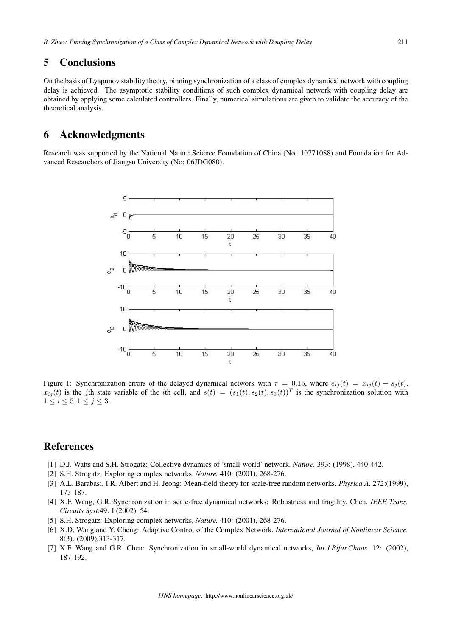### 5 Conclusions

On the basis of Lyapunov stability theory, pinning synchronization of a class of complex dynamical network with coupling delay is achieved. The asymptotic stability conditions of such complex dynamical network with coupling delay are obtained by applying some calculated controllers. Finally, numerical simulations are given to validate the accuracy of the theoretical analysis.

#### 6 Acknowledgments

Research was supported by the National Nature Science Foundation of China (No: 10771088) and Foundation for Advanced Researchers of Jiangsu University (No: 06JDG080).



Figure 1: Synchronization errors of the delayed dynamical network with  $\tau = 0.15$ , where  $e_{ij}(t) = x_{ij}(t) - s_j(t)$ ,  $x_{ij}(t)$  is the jth state variable of the *i*th cell, and  $s(t) = (s_1(t), s_2(t), s_3(t))^T$  is the synchronization solution with  $1 \leq i \leq 5, 1 \leq j \leq 3.$ 

## References

- [1] D.J. Watts and S.H. Strogatz: Collective dynamics of 'small-world' network. *Nature.* 393: (1998), 440-442.
- [2] S.H. Strogatz: Exploring complex networks. *Nature.* 410: (2001), 268-276.
- [3] A.L. Barabasi, I.R. Albert and H. Jeong: Mean-field theory for scale-free random networks. *Physica A.* 272:(1999), 173-187.
- [4] X.F. Wang, G.R.:Synchronization in scale-free dynamical networks: Robustness and fragility, Chen, *IEEE Trans, Circuits Syst*.49: I (2002), 54.
- [5] S.H. Strogatz: Exploring complex networks, *Nature.* 410: (2001), 268-276.
- [6] X.D. Wang and Y. Cheng: Adaptive Control of the Complex Network. *International Journal of Nonlinear Science.* 8(3): (2009),313-317.
- [7] X.F. Wang and G.R. Chen: Synchronization in small-world dynamical networks, *Int.J.Bifur.Chaos.* 12: (2002), 187-192.